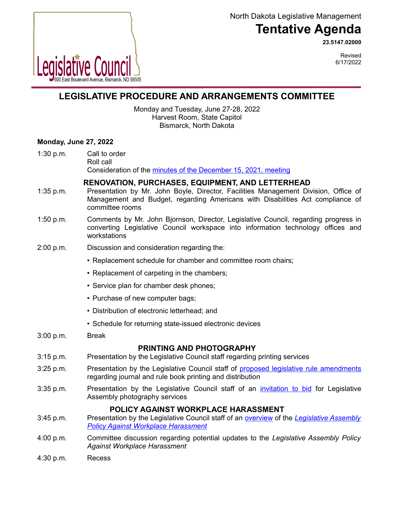North Dakota Legislative Management

# **Tentative Agenda**

**23.5147.02000**



Revised 6/17/2022

## **LEGISLATIVE PROCEDURE AND ARRANGEMENTS COMMITTEE**

Monday and Tuesday, June 27-28, 2022 Harvest Room, State Capitol Bismarck, North Dakota

## **Monday, June 27, 2022**

1:30 p.m. Call to order Roll call Consideration of the [minutes of the December 15, 2021, meeting](https://ndlegis.gov/assembly/67-2021/interim/23-5090-03000-meeting-minutes.pdf)

**RENOVATION, PURCHASES, EQUIPMENT, AND LETTERHEAD**

- 1:35 p.m. Presentation by Mr. John Boyle, Director, Facilities Management Division, Office of Management and Budget, regarding Americans with Disabilities Act compliance of committee rooms
- 1:50 p.m. Comments by Mr. John Bjornson, Director, Legislative Council, regarding progress in converting Legislative Council workspace into information technology offices and workstations
- 2:00 p.m. Discussion and consideration regarding the:
	- Replacement schedule for chamber and committee room chairs;
	- Replacement of carpeting in the chambers;
	- Service plan for chamber desk phones;
	- Purchase of new computer bags;
	- Distribution of electronic letterhead; and
	- Schedule for returning state-issued electronic devices
- 3:00 p.m. Break

## **PRINTING AND PHOTOGRAPHY**

- 3:15 p.m. Presentation by the Legislative Council staff regarding printing services
- 3:25 p.m. Presentation by the Legislative Council staff of [proposed legislative rule amendments](https://ndlegis.gov/assembly/67-2021/interim/23-9324-01000.pdf) regarding journal and rule book printing and distribution
- 3:35 p.m. Presentation by the Legislative Council staff of an *invitation to bid* for Legislative Assembly photography services

## **POLICY AGAINST WORKPLACE HARASSMENT**

- 3:45 p.m. Presentation by the Legislative Council staff of an [overview](https://www.ndlegis.gov/files/committees/67-2021/23_5147_02000presentation_345.pdf) of the *[Legislative Assembly](https://ndlegis.gov/files/committees/65-2017/19_9151_05000.pdf) [Policy Against Workplace Harassment](https://ndlegis.gov/files/committees/65-2017/19_9151_05000.pdf)*
- 4:00 p.m. Committee discussion regarding potential updates to the *Legislative Assembly Policy Against Workplace Harassment*
- 4:30 p.m. Recess